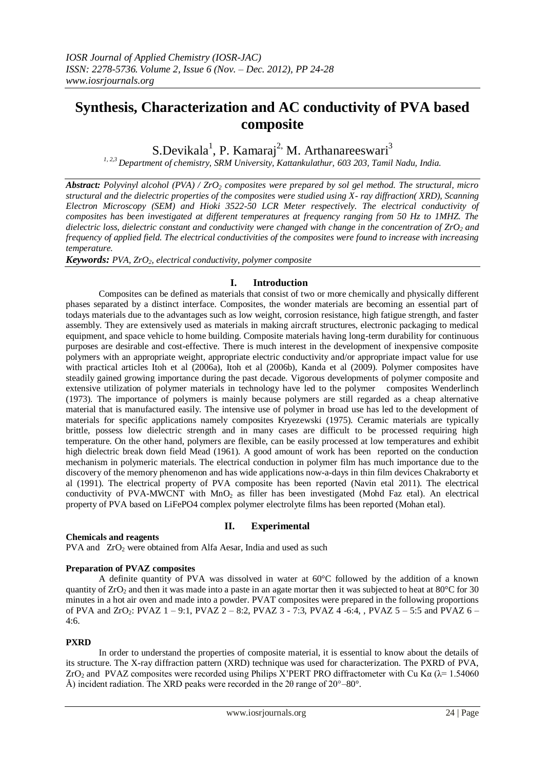# **Synthesis, Characterization and AC conductivity of PVA based composite**

S.Devikala<sup>1</sup>, P. Kamaraj<sup>2,</sup> M. Arthanareeswari<sup>3</sup>

*1, 2,3 Department of chemistry, SRM University, Kattankulathur, 603 203, Tamil Nadu, India.*

*Abstract: Polyvinyl alcohol (PVA) / ZrO<sup>2</sup> composites were prepared by sol gel method. The structural, micro structural and the dielectric properties of the composites were studied using X- ray diffraction( XRD), Scanning Electron Microscopy (SEM) and Hioki 3522-50 LCR Meter respectively. The electrical conductivity of composites has been investigated at different temperatures at frequency ranging from 50 Hz to 1MHZ. The dielectric loss, dielectric constant and conductivity were changed with change in the concentration of ZrO<sup>2</sup> and frequency of applied field. The electrical conductivities of the composites were found to increase with increasing temperature.* 

*Keywords: PVA, ZrO2, electrical conductivity, polymer composite*

## **I. Introduction**

Composites can be defined as materials that consist of two or more chemically and physically different phases separated by a distinct interface. Composites, the wonder materials are becoming an essential part of todays materials due to the advantages such as low weight, corrosion resistance, high fatigue strength, and faster assembly. They are extensively used as materials in making aircraft structures, electronic packaging to medical equipment, and space vehicle to home building. Composite materials having long-term durability for continuous purposes are desirable and cost-effective. There is much interest in the development of inexpensive composite polymers with an appropriate weight, appropriate electric conductivity and/or appropriate impact value for use with practical articles Itoh et al (2006a), Itoh et al (2006b), Kanda et al (2009). Polymer composites have steadily gained growing importance during the past decade. Vigorous developments of polymer composite and extensive utilization of polymer materials in technology have led to the polymer composites Wenderlinch (1973). The importance of polymers is mainly because polymers are still regarded as a cheap alternative material that is manufactured easily. The intensive use of polymer in broad use has led to the development of materials for specific applications namely composites Kryezewski (1975). Ceramic materials are typically brittle, possess low dielectric strength and in many cases are difficult to be processed requiring high temperature. On the other hand, polymers are flexible, can be easily processed at low temperatures and exhibit high dielectric break down field Mead (1961). A good amount of work has been reported on the conduction mechanism in polymeric materials. The electrical conduction in polymer film has much importance due to the discovery of the memory phenomenon and has wide applications now-a-days in thin film devices Chakraborty et al (1991). The electrical property of PVA composite has been reported (Navin etal 2011). The electrical conductivity of PVA-MWCNT with  $MnO<sub>2</sub>$  as filler has been investigated (Mohd Faz etal). An electrical property of PVA based on LiFePO4 complex polymer electrolyte films has been reported (Mohan etal).

## **II. Experimental**

### **Chemicals and reagents**

PVA and  $ZrO<sub>2</sub>$  were obtained from Alfa Aesar, India and used as such

### **Preparation of PVAZ composites**

A definite quantity of PVA was dissolved in water at 60°C followed by the addition of a known quantity of  $ZrO_2$  and then it was made into a paste in an agate mortar then it was subjected to heat at 80 $\degree$ C for 30 minutes in a hot air oven and made into a powder. PVAT composites were prepared in the following proportions of PVA and ZrO<sub>2</sub>: PVAZ  $1 - 9:1$ , PVAZ  $2 - 8:2$ , PVAZ  $3 - 7:3$ , PVAZ  $4 - 6:4$ , , PVAZ  $5 - 5:5$  and PVAZ  $6 -$ 4:6.

## **PXRD**

In order to understand the properties of composite material, it is essential to know about the details of its structure. The X-ray diffraction pattern (XRD) technique was used for characterization. The PXRD of PVA, ZrO<sub>2</sub> and PVAZ composites were recorded using Philips X'PERT PRO diffractometer with Cu K $\alpha$  ( $\lambda$ = 1.54060 Å) incident radiation. The XRD peaks were recorded in the 2θ range of 20°–80°.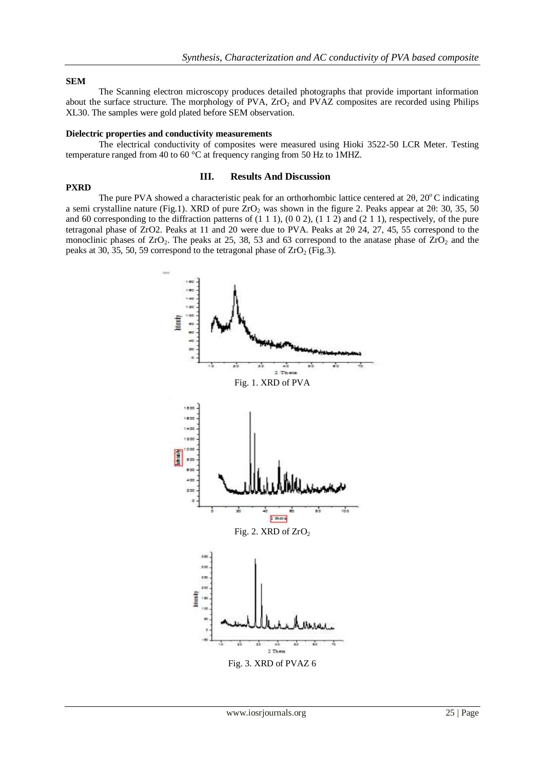### **SEM**

**PXRD**

The Scanning electron microscopy produces detailed photographs that provide important information about the surface structure. The morphology of PVA, ZrO<sub>2</sub> and PVAZ composites are recorded using Philips XL30. The samples were gold plated before SEM observation.

### **Dielectric properties and conductivity measurements**

The electrical conductivity of composites were measured using Hioki 3522-50 LCR Meter. Testing temperature ranged from 40 to 60 °C at frequency ranging from 50 Hz to 1MHZ.

#### **III. Results And Discussion**

The pure PVA showed a characteristic peak for an orthorhombic lattice centered at 2 $\theta$ , 20 $\degree$ C indicating a semi crystalline nature (Fig.1). XRD of pure  $ZrO<sub>2</sub>$  was shown in the figure 2. Peaks appear at 2 $\theta$ : 30, 35, 50 and 60 corresponding to the diffraction patterns of  $(1\ 1\ 1)$ ,  $(0\ 0\ 2)$ ,  $(1\ 1\ 2)$  and  $(2\ 1\ 1)$ , respectively, of the pure tetragonal phase of ZrO2. Peaks at 11 and 20 were due to PVA. Peaks at 2θ 24, 27, 45, 55 correspond to the monoclinic phases of  $ZrO_2$ . The peaks at 25, 38, 53 and 63 correspond to the anatase phase of  $ZrO_2$  and the peaks at 30, 35, 50, 59 correspond to the tetragonal phase of  $ZrO<sub>2</sub>$  (Fig.3).

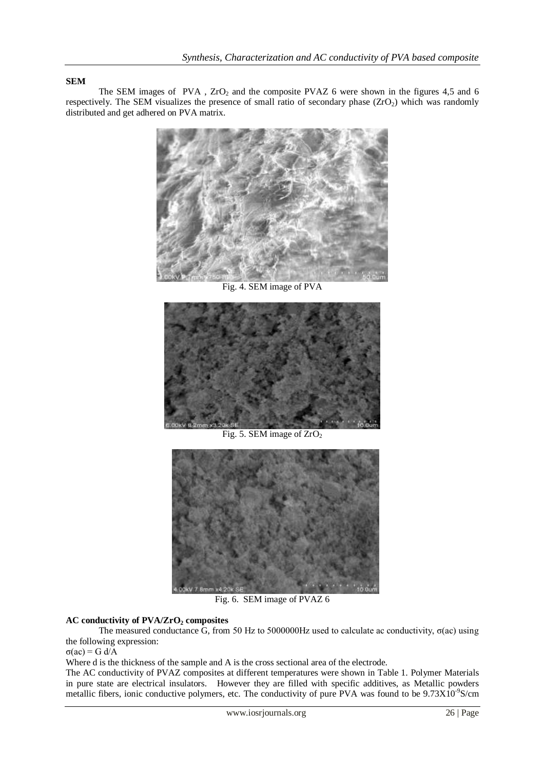## **SEM**

The SEM images of PVA,  $ZrO<sub>2</sub>$  and the composite PVAZ 6 were shown in the figures 4,5 and 6 respectively. The SEM visualizes the presence of small ratio of secondary phase  $(ZrO<sub>2</sub>)$  which was randomly distributed and get adhered on PVA matrix.



Fig. 4. SEM image of PVA



Fig. 5. SEM image of  $ZrO<sub>2</sub>$ 



Fig. 6. SEM image of PVAZ 6

## **AC conductivity of PVA/ZrO<sup>2</sup> composites**

The measured conductance  $\overline{G}$ , from 50 Hz to 5000000Hz used to calculate ac conductivity,  $\sigma$ (ac) using the following expression:

σ(ac) = G d/A

Where d is the thickness of the sample and A is the cross sectional area of the electrode.

The AC conductivity of PVAZ composites at different temperatures were shown in Table 1. Polymer Materials in pure state are electrical insulators. However they are filled with specific additives, as Metallic powders metallic fibers, ionic conductive polymers, etc. The conductivity of pure PVA was found to be 9.73X10<sup>-9</sup>S/cm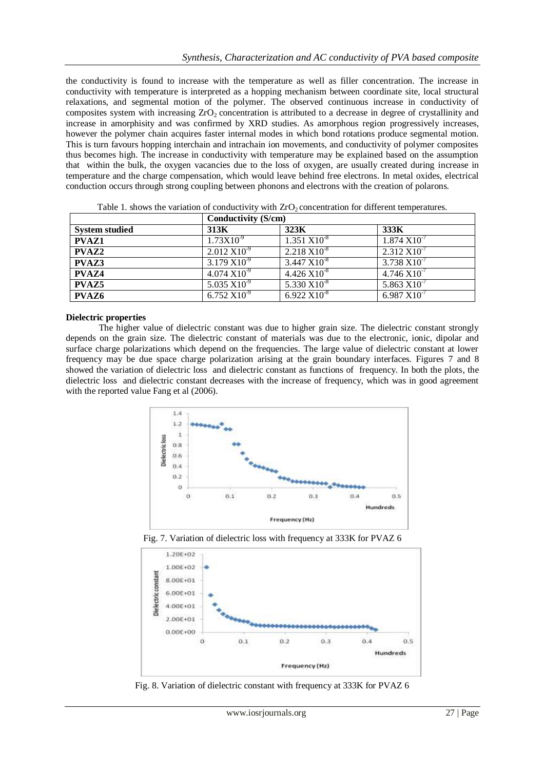the conductivity is found to increase with the temperature as well as filler concentration. The increase in conductivity with temperature is interpreted as a hopping mechanism between coordinate site, local structural relaxations, and segmental motion of the polymer. The observed continuous increase in conductivity of composites system with increasing  $ZrO<sub>2</sub>$  concentration is attributed to a decrease in degree of crystallinity and increase in amorphisity and was confirmed by XRD studies. As amorphous region progressively increases, however the polymer chain acquires faster internal modes in which bond rotations produce segmental motion. This is turn favours hopping interchain and intrachain ion movements, and conductivity of polymer composites thus becomes high. The increase in conductivity with temperature may be explained based on the assumption that within the bulk, the oxygen vacancies due to the loss of oxygen, are usually created during increase in temperature and the charge compensation, which would leave behind free electrons. In metal oxides, electrical conduction occurs through strong coupling between phonons and electrons with the creation of polarons.

|                       | Conductivity (S/cm)      |                          |                          |
|-----------------------|--------------------------|--------------------------|--------------------------|
| <b>System studied</b> | 313K                     | 323K                     | 333K                     |
| <b>PVAZ1</b>          | $1.73X10^{-9}$           | $1.351 \text{ X}10^{3}$  | $1.874 X10^{-7}$         |
| <b>PVAZ2</b>          | $2.012 X10^{-9}$         | $2.218 X10^{-8}$         | $2.312 \text{ X}10^{-7}$ |
| PVAZ3                 | $3.179 X10^{-9}$         | $3.447 \times 10^{-8}$   | $3.738 \text{ X}10^{-7}$ |
| PVAZ4                 | $4.074 \text{ X}10^{-9}$ | $4.426 \text{ X}10^{-8}$ | $4.746 X10^{-7}$         |
| <b>PVAZ5</b>          | 5.035 $X10^{-9}$         | 5.330 $X10^{-8}$         | $5.863 \text{ X}10^{-7}$ |
| PVAZ6                 | $6.752 X10^{-9}$         | $6.922 X10^{-8}$         | $6.987 X10^{-7}$         |

Table 1. shows the variation of conductivity with  $ZrO<sub>2</sub>$  concentration for different temperatures.

### **Dielectric properties**

The higher value of dielectric constant was due to higher grain size. The dielectric constant strongly depends on the grain size. The dielectric constant of materials was due to the electronic, ionic, dipolar and surface charge polarizations which depend on the frequencies. The large value of dielectric constant at lower frequency may be due space charge polarization arising at the grain boundary interfaces. Figures 7 and 8 showed the variation of dielectric loss and dielectric constant as functions of frequency. In both the plots, the dielectric loss and dielectric constant decreases with the increase of frequency, which was in good agreement with the reported value Fang et al (2006).







Fig. 8. Variation of dielectric constant with frequency at 333K for PVAZ 6